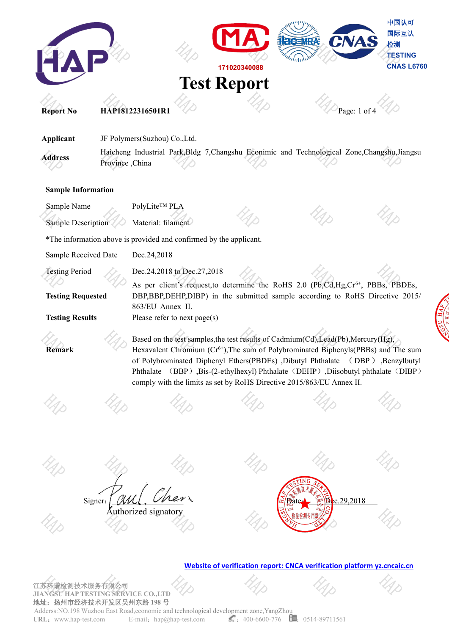

**JIANGSU HAP TESTING SERVICE CO.,LTD** 地址:扬州市经济技术开发区吴州东路 **198** 号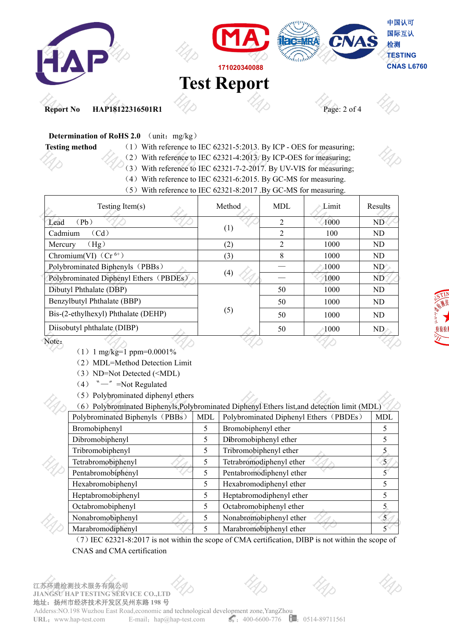

## **Determination of RoHS 2.0** (unit: mg/kg)

- **Testing method** (1) With reference to IEC 62321-5:2013. By ICP OES for measuring;
	- (2) With reference to IEC 62321-4:2013. By ICP-OES for measuring;
	- (3) With reference to IEC 62321-7-2-2017. By UV-VIS for measuring;
	- (4) With reference to IEC 62321-6:2015. By GC-MS for measuring.
	- (5) With reference to IEC 62321-8:2017 .By GC-MS for measuring.

| Testing Item $(s)$                     | Method | MDL            | Limit | Results |             |
|----------------------------------------|--------|----------------|-------|---------|-------------|
| Lead<br>(Pb)                           |        | $\overline{2}$ | 1000  | ND      |             |
| Cadmium<br>(Cd)                        | (1)    | $\overline{2}$ | 100   | ND      |             |
| (Hg)<br>Mercury                        | (2)    | 2              | 1000  | ND      |             |
| Chromium(VI) $(Cr^{6+})$               | (3)    | 8              | 1000  | ND      |             |
| Polybrominated Biphenyls (PBBs)        |        |                | 1000  | ND'     |             |
| Polybrominated Diphenyl Ethers (PBDEs) | (4)    |                | 1000  | ND.     |             |
| Dibutyl Phthalate (DBP)                |        | 50             | 1000  | ND      |             |
| Benzylbutyl Phthalate (BBP)            | (5)    | 50             | 1000  | ND      | <b>STIP</b> |
| Bis-(2-ethylhexyl) Phthalate (DEHP)    |        | 50             | 1000  | ND      |             |
| Diisobutyl phthalate (DIBP)            |        | 50             | 1000  | ND      | 检验检         |
| Note:                                  |        |                |       |         |             |

 $(1)$  1 mg/kg=1 ppm=0.0001%

(2)MDL=Method Detection Limit

- (3) ND=Not Detected (<MDL)
- $(4)$  " $-$ " =Not Regulated
- (5) Polybrominated diphenyl ethers

|                                 |            | (6) Polybrominated Biphenyls, Polybrominated Diphenyl Ethers list, and detection limit (MDL) |       |
|---------------------------------|------------|----------------------------------------------------------------------------------------------|-------|
| Polybrominated Biphenyls (PBBs) | <b>MDL</b> | Polybrominated Diphenyl Ethers (PBDEs)                                                       | MDL   |
| Bromobiphenyl                   |            | Bromobiphenyl ether                                                                          |       |
| Dibromobiphenyl                 |            | Dibromobiphenyl ether                                                                        |       |
| Tribromobiphenyl                |            | Tribromobiphenyl ether                                                                       |       |
| Tetrabromobiphenyl              |            | Tetrabromodiphenyl ether                                                                     | 5     |
| Pentabromobiphenyl              |            | Pentabromodiphenyl ether                                                                     |       |
| Hexabromobiphenyl               |            | Hexabromodiphenyl ether                                                                      |       |
| Heptabromobiphenyl              |            | Heptabromodiphenyl ether                                                                     |       |
| Octabromobiphenyl               |            | Octabromobiphenyl ether                                                                      |       |
| Nonabromobiphenyl               |            | Nonabromobiphenyl ether                                                                      | $5\%$ |
| Marabromodiphenyl               |            | Marabromobiphenyl ether                                                                      | ≺∀    |

(7)IEC 62321-8:2017 is not within the scope of CMA certification, DIBP is not within the scope of CNAS and CMA certification

江苏环谱检测技术服务有限公司 **JIANGSU HAP TESTING SERVICE CO.,LTD** 地址:扬州市经济技术开发区吴州东路 **198** 号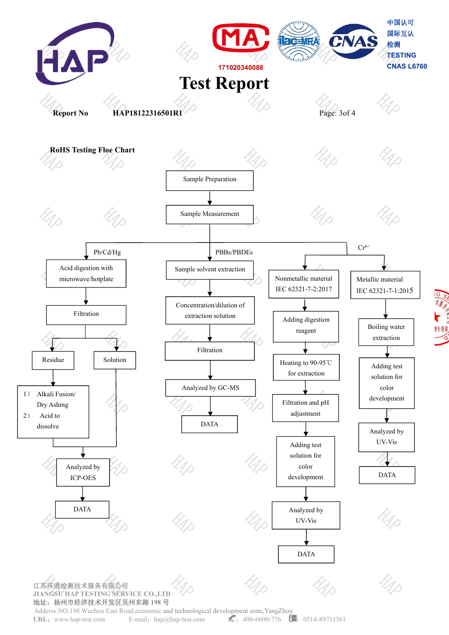